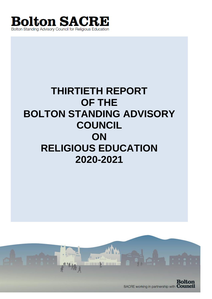

# **THIRTIETH REPORT OF THE BOLTON STANDING ADVISORY COUNCIL ON RELIGIOUS EDUCATION 2020-2021**

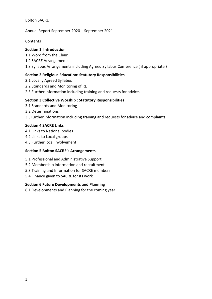#### Bolton SACRE

## Annual Report September 2020 – September 2021

**Contents** 

# **Section 1 Introduction**

- 1.1 Word from the Chair
- 1.2 SACRE Arrangements
- 1.3 Syllabus Arrangements including Agreed Syllabus Conference ( if appropriate )

# **Section 2 Religious Education: Statutory Responsibilities**

- 2.1 Locally Agreed Syllabus
- 2.2 Standards and Monitoring of RE
- 2.3 Further information including training and requests for advice.

# **Section 3 Collective Worship : Statutory Responsibilities**

- 3.1 Standards and Monitoring
- 3.2 Determinations
- 3.3Further information including training and requests for advice and complaints

# **Section 4 SACRE Links**

- 4.1 Links to National bodies
- 4.2 Links to Local groups
- 4.3 Further local involvement

# **Section 5 Bolton SACRE's Arrangements**

- 5.1 Professional and Administrative Support
- 5.2 Membership information and recruitment
- 5.3 Training and Information for SACRE members
- 5.4 Finance given to SACRE for its work

# **Section 6 Future Developments and Planning**

6.1 Developments and Planning for the coming year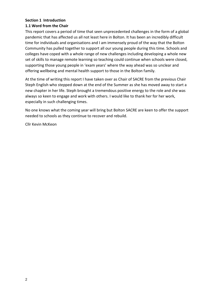# **Section 1 Introduction 1.1 Word from the Chair**

This report covers a period of time that seen unprecedented challenges in the form of a global pandemic that has affected us all not least here in Bolton. It has been an incredibly difficult time for individuals and organisations and I am immensely proud of the way that the Bolton Community has pulled together to support all our young people during this time. Schools and colleges have coped with a whole range of new challenges including developing a whole new set of skills to manage remote learning so teaching could continue when schools were closed, supporting those young people in 'exam years' where the way ahead was so unclear and offering wellbeing and mental health support to those in the Bolton family.

At the time of writing this report I have taken over as Chair of SACRE from the previous Chair Steph English who stepped down at the end of the Summer as she has moved away to start a new chapter in her life. Steph brought a tremendous positive energy to the role and she was always so keen to engage and work with others. I would like to thank her for her work, especially in such challenging times.

No one knows what the coming year will bring but Bolton SACRE are keen to offer the support needed to schools as they continue to recover and rebuild.

Cllr Kevin McKeon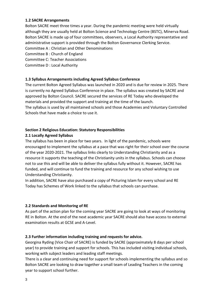## **1.2 SACRE Arrangements**

Bolton SACRE meet three times a year. During the pandemic meeting were held virtually although they are usually held at Bolton Science and Technology Centre (BSTC), Minerva Road. Bolton SACRE is made up of four committees, observers, a Local Authority representative and administrative support is provided through the Bolton Governance Clerking Service.

Committee A : Christian and Other Denominations

Committee B : Church of England

Committee C: Teacher Associations

Committee D : Local Authority

#### **1.3 Syllabus Arrangements including Agreed Syllabus Conference**

The current Bolton Agreed Syllabus was launched in 2020 and is due for review in 2025. There is currently no Agreed Syllabus Conference in place. The syllabus was created by SACRE and approved by Bolton Council. SACRE secured the services of RE Today who developed the materials and provided the support and training at the time of the launch.

The syllabus is used by all maintained schools and those Academies and Voluntary Controlled Schools that have made a choice to use it.

#### **Section 2 Religious Education: Statutory Responsibilities**

#### **2.1 Locally Agreed Syllabus**

The syllabus has been in place for two years. In light of the pandemic, schools were encouraged to implement the syllabus at a pace that was right for their school over the course of the year 2020-2021. The syllabus links clearly to Understanding Christianity and as a resource it supports the teaching of the Christianity units in the syllabus. Schools can choose not to use this and will be able to deliver the syllabus fully without it. However, SACRE has funded, and will continue to fund the training and resource for any school wishing to use Understanding Christianity.

In addition, SACRE have also purchased a copy of Picturing Islam for every school and RE Today has Schemes of Work linked to the syllabus that schools can purchase.

## **2.2 Standards and Monitoring of RE**

As part of the action plan for the coming year SACRE are going to look at ways of monitoring RE in Bolton. At the end of the next academic year SACRE should also have access to external examination results at GCSE and A-Level.

#### **2.3 Further information including training and requests for advice.**

Georgina Ryding (Vice Chair of SACRE) is funded by SACRE (approximately 8 days per school year) to provide training and support for schools. This has included visiting individual schools, working with subject leaders and leading staff meetings.

There is a clear and continuing need for support for schools implementing the syllabus and so Bolton SACRE are looking to draw together a small team of Leading Teachers in the coming year to support school further.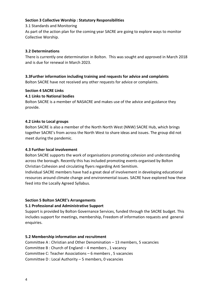## **Section 3 Collective Worship : Statutory Responsibilities**

3.1 Standards and Monitoring

As part of the action plan for the coming year SACRE are going to explore ways to monitor Collective Worship.

# **3.2 Determinations**

There is currently one determination in Bolton. This was sought and approved in March 2018 and is due for renewal in March 2023.

# **3.3Further information including training and requests for advice and complaints**

Bolton SACRE have not received any other requests for advice or complaints.

## **Section 4 SACRE Links**

# **4.1 Links to National bodies**

Bolton SACRE is a member of NASACRE and makes use of the advice and guidance they provide.

# **4.2 Links to Local groups**

Bolton SACRE is also a member of the North North West (NNW) SACRE Hub, which brings together SACRE's from across the North West to share ideas and issues. The group did not meet during the pandemic.

# **4.3 Further local involvement**

Bolton SACRE supports the work of organisations promoting cohesion and understanding across the borough. Recently this has included promoting events organised by Bolton Christian Cohesion and circulating flyers regarding Anti Semitism.

Individual SACRE members have had a great deal of involvement in developing educational resources around climate change and environmental issues. SACRE have explored how these feed into the Locally Agreed Syllabus.

# **Section 5 Bolton SACRE's Arrangements**

# **5.1 Professional and Administrative Support**

Support is provided by Bolton Governance Services, funded through the SACRE budget. This includes support for meetings, membership, Freedom of information requests and general enquiries.

## **5.2 Membership information and recruitment**

Committee A : Christian and Other Denomination – 13 members, 5 vacancies Committee B : Church of England – 4 members , 1 vacancy Committee C: Teacher Associations – 6 members , 5 vacancies Committee D : Local Authority – 5 members, 0 vacancies